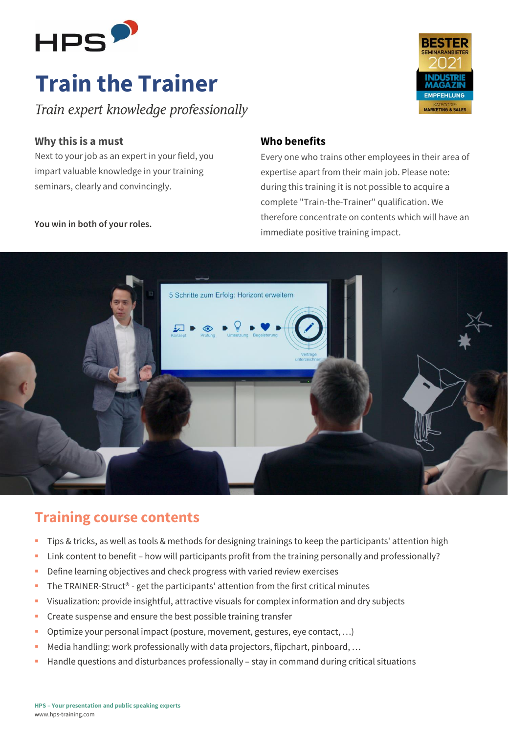

# **Train the Trainer**

Train expert knowledge professionally

### **Why this is a must**

Next to your job as an expert in your field, you impart valuable knowledge in your training seminars, clearly and convincingly.

## **Who benefits**

Every one who trains other employees in their area of expertise apart from their main job. Please note: during this training it is not possible to acquire a complete "Train-the-Trainer" qualification. We therefore concentrate on contents which will have an immediate positive training impact.

**EMPEEHLUNG** 

**MARKETING & SALES** 



## **Training course contents**

- Tips & tricks, as well as tools & methods for designing trainings to keep the participants' attention high
- Link content to benefit how will participants profit from the training personally and professionally?
- **•** Define learning objectives and check progress with varied review exercises
- The TRAINER-Struct<sup>®</sup> get the participants' attention from the first critical minutes
- Visualization: provide insightful, attractive visuals for complex information and dry subjects
- Create suspense and ensure the best possible training transfer
- Optimize your personal impact (posture, movement, gestures, eye contact, ...)
- Media handling: work professionally with data projectors, flipchart, pinboard, ...
- **Handle questions and disturbances professionally stay in command during critical situations**

#### **You win in both of your roles.**